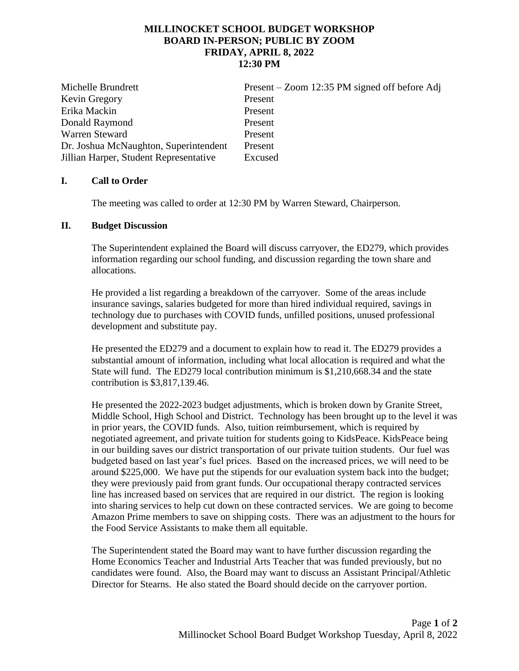## **MILLINOCKET SCHOOL BUDGET WORKSHOP BOARD IN-PERSON; PUBLIC BY ZOOM FRIDAY, APRIL 8, 2022 12:30 PM**

Michelle Brundrett Present – Zoom 12:35 PM signed off before Adj Kevin Gregory Present Erika Mackin Present Donald Raymond Present Warren Steward Present Dr. Joshua McNaughton, Superintendent Present Jillian Harper, Student Representative Excused

## **I. Call to Order**

The meeting was called to order at 12:30 PM by Warren Steward, Chairperson.

## **II. Budget Discussion**

The Superintendent explained the Board will discuss carryover, the ED279, which provides information regarding our school funding, and discussion regarding the town share and allocations.

He provided a list regarding a breakdown of the carryover. Some of the areas include insurance savings, salaries budgeted for more than hired individual required, savings in technology due to purchases with COVID funds, unfilled positions, unused professional development and substitute pay.

He presented the ED279 and a document to explain how to read it. The ED279 provides a substantial amount of information, including what local allocation is required and what the State will fund. The ED279 local contribution minimum is \$1,210,668.34 and the state contribution is \$3,817,139.46.

He presented the 2022-2023 budget adjustments, which is broken down by Granite Street, Middle School, High School and District. Technology has been brought up to the level it was in prior years, the COVID funds. Also, tuition reimbursement, which is required by negotiated agreement, and private tuition for students going to KidsPeace. KidsPeace being in our building saves our district transportation of our private tuition students. Our fuel was budgeted based on last year's fuel prices. Based on the increased prices, we will need to be around \$225,000. We have put the stipends for our evaluation system back into the budget; they were previously paid from grant funds. Our occupational therapy contracted services line has increased based on services that are required in our district. The region is looking into sharing services to help cut down on these contracted services. We are going to become Amazon Prime members to save on shipping costs. There was an adjustment to the hours for the Food Service Assistants to make them all equitable.

The Superintendent stated the Board may want to have further discussion regarding the Home Economics Teacher and Industrial Arts Teacher that was funded previously, but no candidates were found. Also, the Board may want to discuss an Assistant Principal/Athletic Director for Stearns. He also stated the Board should decide on the carryover portion.